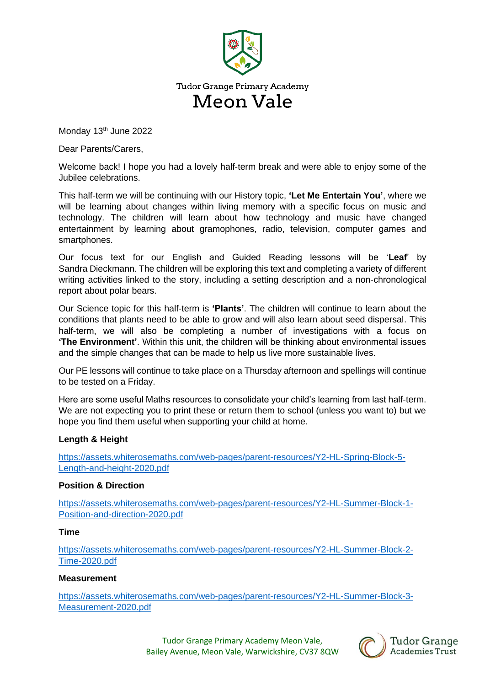

Monday 13<sup>th</sup> June 2022

Dear Parents/Carers,

Welcome back! I hope you had a lovely half-term break and were able to enjoy some of the Jubilee celebrations.

This half-term we will be continuing with our History topic, **'Let Me Entertain You'**, where we will be learning about changes within living memory with a specific focus on music and technology. The children will learn about how technology and music have changed entertainment by learning about gramophones, radio, television, computer games and smartphones.

Our focus text for our English and Guided Reading lessons will be '**Leaf**' by Sandra Dieckmann. The children will be exploring this text and completing a variety of different writing activities linked to the story, including a setting description and a non-chronological report about polar bears.

Our Science topic for this half-term is **'Plants'**. The children will continue to learn about the conditions that plants need to be able to grow and will also learn about seed dispersal. This half-term, we will also be completing a number of investigations with a focus on **'The Environment'**. Within this unit, the children will be thinking about environmental issues and the simple changes that can be made to help us live more sustainable lives.

Our PE lessons will continue to take place on a Thursday afternoon and spellings will continue to be tested on a Friday.

Here are some useful Maths resources to consolidate your child's learning from last half-term. We are not expecting you to print these or return them to school (unless you want to) but we hope you find them useful when supporting your child at home.

## **Length & Height**

[https://assets.whiterosemaths.com/web-pages/parent-resources/Y2-HL-Spring-Block-5-](https://assets.whiterosemaths.com/web-pages/parent-resources/Y2-HL-Spring-Block-5-Length-and-height-2020.pdf) [Length-and-height-2020.pdf](https://assets.whiterosemaths.com/web-pages/parent-resources/Y2-HL-Spring-Block-5-Length-and-height-2020.pdf)

## **Position & Direction**

[https://assets.whiterosemaths.com/web-pages/parent-resources/Y2-HL-Summer-Block-1-](https://assets.whiterosemaths.com/web-pages/parent-resources/Y2-HL-Summer-Block-1-Position-and-direction-2020.pdf) [Position-and-direction-2020.pdf](https://assets.whiterosemaths.com/web-pages/parent-resources/Y2-HL-Summer-Block-1-Position-and-direction-2020.pdf)

## **Time**

[https://assets.whiterosemaths.com/web-pages/parent-resources/Y2-HL-Summer-Block-2-](https://assets.whiterosemaths.com/web-pages/parent-resources/Y2-HL-Summer-Block-2-Time-2020.pdf) [Time-2020.pdf](https://assets.whiterosemaths.com/web-pages/parent-resources/Y2-HL-Summer-Block-2-Time-2020.pdf)

## **Measurement**

[https://assets.whiterosemaths.com/web-pages/parent-resources/Y2-HL-Summer-Block-3-](https://assets.whiterosemaths.com/web-pages/parent-resources/Y2-HL-Summer-Block-3-Measurement-2020.pdf) [Measurement-2020.pdf](https://assets.whiterosemaths.com/web-pages/parent-resources/Y2-HL-Summer-Block-3-Measurement-2020.pdf)